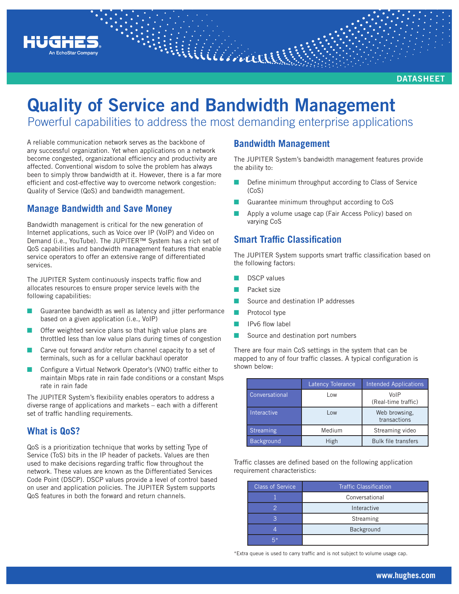

**DATASHEET**

# **Quality of Service and Bandwidth Management** Powerful capabilities to address the most demanding enterprise applications

Williamar

A reliable communication network serves as the backbone of any successful organization. Yet when applications on a network

become congested, organizational efficiency and productivity are affected. Conventional wisdom to solve the problem has always been to simply throw bandwidth at it. However, there is a far more efficient and cost-effective way to overcome network congestion: Quality of Service (QoS) and bandwidth management.

## **Manage Bandwidth and Save Money**

Bandwidth management is critical for the new generation of Internet applications, such as Voice over IP (VoIP) and Video on Demand (i.e., YouTube). The JUPITER™ System has a rich set of QoS capabilities and bandwidth management features that enable service operators to offer an extensive range of differentiated services.

The JUPITER System continuously inspects traffic flow and allocates resources to ensure proper service levels with the following capabilities:

- Guarantee bandwidth as well as latency and jitter performance based on a given application (i.e., VoIP)
- Offer weighted service plans so that high value plans are throttled less than low value plans during times of congestion
- Carve out forward and/or return channel capacity to a set of terminals, such as for a cellular backhaul operator
- Configure a Virtual Network Operator's (VNO) traffic either to maintain Mbps rate in rain fade conditions or a constant Msps rate in rain fade

The JUPITER System's flexibility enables operators to address a diverse range of applications and markets – each with a different set of traffic handling requirements.

## **What is QoS?**

QoS is a prioritization technique that works by setting Type of Service (ToS) bits in the IP header of packets. Values are then used to make decisions regarding traffic flow throughout the network. These values are known as the Differentiated Services Code Point (DSCP). DSCP values provide a level of control based on user and application policies. The JUPITER System supports QoS features in both the forward and return channels.

### **Bandwidth Management**

The JUPITER System's bandwidth management features provide the ability to:

- Define minimum throughput according to Class of Service (CoS)
- Q Guarantee minimum throughput according to CoS
- Apply a volume usage cap (Fair Access Policy) based on varying CoS

## **Smart Traffic Classification**

The JUPITER System supports smart traffic classification based on the following factors:

- DSCP values
- Packet size
- Source and destination IP addresses
- Protocol type
- IPv6 flow label
- Source and destination port numbers

There are four main CoS settings in the system that can be mapped to any of four traffic classes. A typical configuration is shown below:

|                   | <b>Latency Tolerance</b> | <b>Intended Applications</b>  |
|-------------------|--------------------------|-------------------------------|
| Conversational    | Low                      | VoIP<br>(Real-time traffic)   |
| Interactive       | Low                      | Web browsing.<br>transactions |
| <b>Streaming</b>  | Medium                   | Streaming video               |
| <b>Background</b> | High                     | <b>Bulk file transfers</b>    |

Traffic classes are defined based on the following application requirement characteristics:

| <b>Class of Service</b> | <b>Traffic Classification</b> |  |
|-------------------------|-------------------------------|--|
|                         | Conversational                |  |
|                         | Interactive                   |  |
|                         | Streaming                     |  |
|                         | Background                    |  |
| г*                      |                               |  |

\*Extra queue is used to carry traffic and is not subject to volume usage cap.